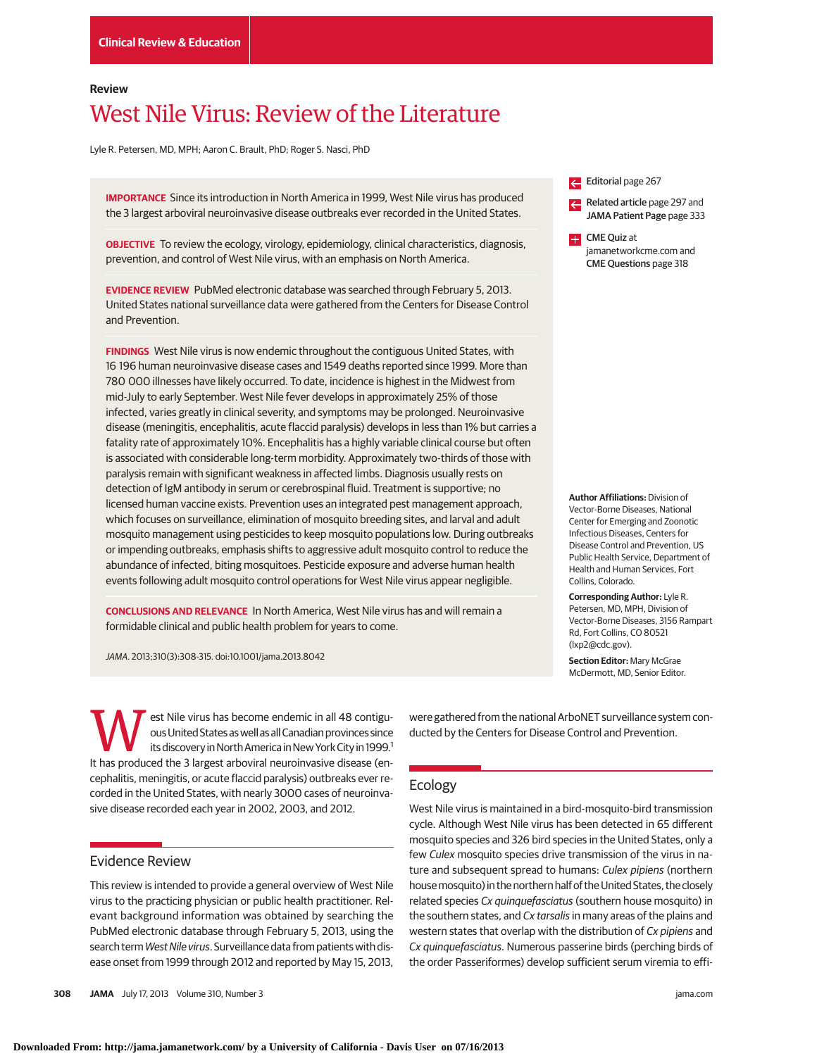#### **Review**

# West Nile Virus: Review of the Literature

Lyle R. Petersen, MD, MPH; Aaron C. Brault, PhD; Roger S. Nasci, PhD

**IMPORTANCE** Since its introduction in North America in 1999, West Nile virus has produced the 3 largest arboviral neuroinvasive disease outbreaks ever recorded in the United States.

**OBJECTIVE** To review the ecology, virology, epidemiology, clinical characteristics, diagnosis, prevention, and control of West Nile virus, with an emphasis on North America.

**EVIDENCE REVIEW** PubMed electronic database was searched through February 5, 2013. United States national surveillance data were gathered from the Centers for Disease Control and Prevention.

**FINDINGS** West Nile virus is now endemic throughout the contiguous United States, with 16 196 human neuroinvasive disease cases and 1549 deaths reported since 1999. More than 780 000 illnesses have likely occurred. To date, incidence is highest in the Midwest from mid-July to early September. West Nile fever develops in approximately 25% of those infected, varies greatly in clinical severity, and symptoms may be prolonged. Neuroinvasive disease (meningitis, encephalitis, acute flaccid paralysis) develops in less than 1% but carries a fatality rate of approximately 10%. Encephalitis has a highly variable clinical course but often is associated with considerable long-term morbidity. Approximately two-thirds of those with paralysis remain with significant weakness in affected limbs. Diagnosis usually rests on detection of IgM antibody in serum or cerebrospinal fluid. Treatment is supportive; no licensed human vaccine exists. Prevention uses an integrated pest management approach, which focuses on surveillance, elimination of mosquito breeding sites, and larval and adult mosquito management using pesticides to keep mosquito populations low. During outbreaks or impending outbreaks, emphasis shifts to aggressive adult mosquito control to reduce the abundance of infected, biting mosquitoes. Pesticide exposure and adverse human health events following adult mosquito control operations for West Nile virus appear negligible.

**CONCLUSIONS AND RELEVANCE** In North America, West Nile virus has and will remain a formidable clinical and public health problem for years to come.

JAMA. 2013;310(3):308-315. doi:10.1001/jama.2013.8042

Editorial page 267

Related article page 297 and JAMA Patient Page page 333

**CME** Quiz at jamanetworkcme.com and CME Questions page 318

**Author Affiliations:** Division of Vector-Borne Diseases, National Center for Emerging and Zoonotic Infectious Diseases, Centers for Disease Control and Prevention, US Public Health Service, Department of Health and Human Services, Fort Collins, Colorado.

**Corresponding Author:** Lyle R. Petersen, MD, MPH, Division of Vector-Borne Diseases, 3156 Rampart Rd, Fort Collins, CO 80521 (lxp2@cdc.gov).

**Section Editor:** Mary McGrae McDermott, MD, Senior Editor.

est Nile virus has become endemic in all 48 contiguous United States as well as all Canadian provinces since its discovery in North America in New York City in 1999.<sup>1</sup> It has produced the 3 largest arboviral neuroinvasive disease (encephalitis, meningitis, or acute flaccid paralysis) outbreaks ever recorded in the United States, with nearly 3000 cases of neuroinvasive disease recorded each year in 2002, 2003, and 2012.

# Evidence Review

This review is intended to provide a general overview of West Nile virus to the practicing physician or public health practitioner. Relevant background information was obtained by searching the PubMed electronic database through February 5, 2013, using the search term West Nile virus. Surveillance data from patients with disease onset from 1999 through 2012 and reported by May 15, 2013, were gathered from the national ArboNET surveillance system conducted by the Centers for Disease Control and Prevention.

### Ecology

West Nile virus is maintained in a bird-mosquito-bird transmission cycle. Although West Nile virus has been detected in 65 different mosquito species and 326 bird species in the United States, only a few Culex mosquito species drive transmission of the virus in nature and subsequent spread to humans: Culex pipiens (northern house mosquito) in the northern half of the United States, the closely related species Cx quinquefasciatus (southern house mosquito) in the southern states, and Cx tarsalis in many areas of the plains and western states that overlap with the distribution of Cx pipiens and Cx quinquefasciatus. Numerous passerine birds (perching birds of the order Passeriformes) develop sufficient serum viremia to effi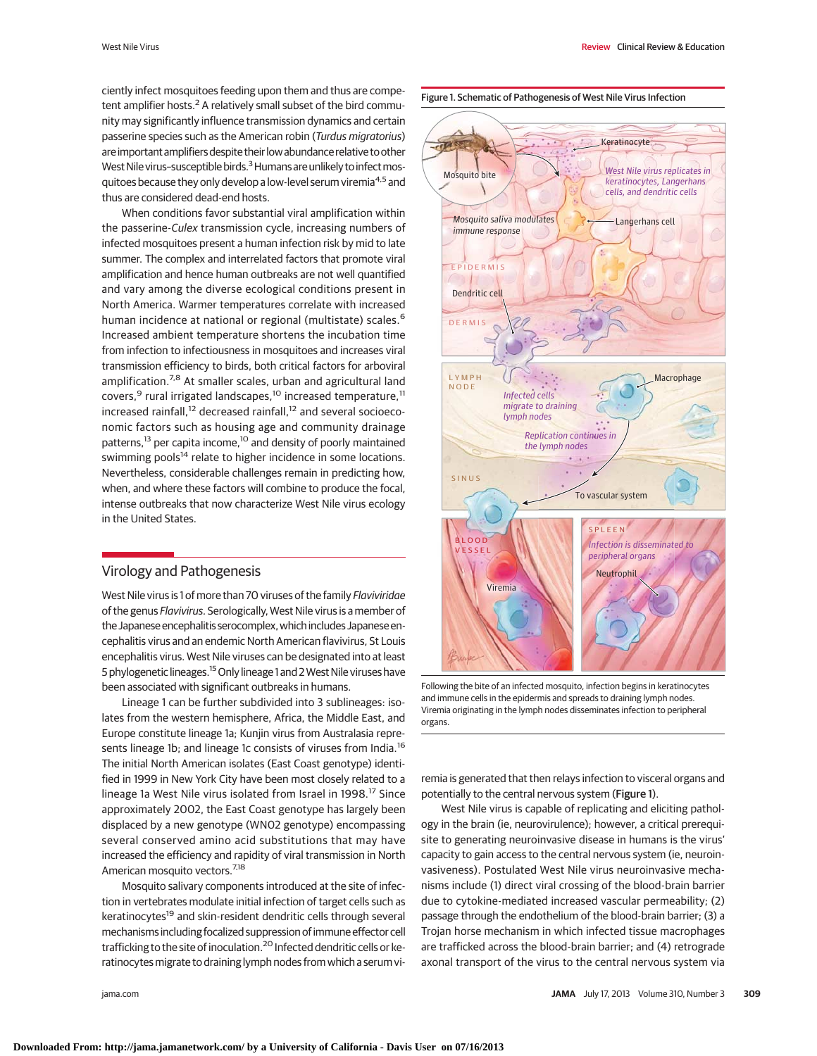West Nile Virus Review Clinical Review & Education

ciently infect mosquitoes feeding upon them and thus are competent amplifier hosts. $2$  A relatively small subset of the bird community may significantly influence transmission dynamics and certain passerine species such as the American robin (Turdus migratorius) are importantamplifiers despite their lowabundance relative to other West Nile virus-susceptible birds.<sup>3</sup> Humans are unlikely to infect mosquitoes because they only develop a low-level serum viremia<sup>4,5</sup> and thus are considered dead-end hosts.

When conditions favor substantial viral amplification within the passerine-Culex transmission cycle, increasing numbers of infected mosquitoes present a human infection risk by mid to late summer. The complex and interrelated factors that promote viral amplification and hence human outbreaks are not well quantified and vary among the diverse ecological conditions present in North America. Warmer temperatures correlate with increased human incidence at national or regional (multistate) scales.<sup>6</sup> Increased ambient temperature shortens the incubation time from infection to infectiousness in mosquitoes and increases viral transmission efficiency to birds, both critical factors for arboviral amplification.<sup>7,8</sup> At smaller scales, urban and agricultural land covers,<sup>9</sup> rural irrigated landscapes,<sup>10</sup> increased temperature,<sup>11</sup>  $increased$  rainfall,<sup>12</sup> decreased rainfall,<sup>12</sup> and several socioeconomic factors such as housing age and community drainage patterns,<sup>13</sup> per capita income,<sup>10</sup> and density of poorly maintained swimming pools<sup>14</sup> relate to higher incidence in some locations. Nevertheless, considerable challenges remain in predicting how, when, and where these factors will combine to produce the focal, intense outbreaks that now characterize West Nile virus ecology in the United States.

## Virology and Pathogenesis

West Nile virus is 1 of more than 70 viruses of the family Flaviviridae of the genus Flavivirus. Serologically, West Nile virus is a member of the Japanese encephalitis serocomplex, which includes Japanese encephalitis virus and an endemic North American flavivirus, St Louis encephalitis virus. West Nile viruses can be designated into at least 5 phylogenetic lineages.<sup>15</sup> Only lineage 1 and 2 West Nile viruses have been associated with significant outbreaks in humans.

Lineage 1 can be further subdivided into 3 sublineages: isolates from the western hemisphere, Africa, the Middle East, and Europe constitute lineage 1a; Kunjin virus from Australasia represents lineage 1b; and lineage 1c consists of viruses from India.<sup>16</sup> The initial North American isolates (East Coast genotype) identified in 1999 in New York City have been most closely related to a lineage 1a West Nile virus isolated from Israel in 1998.<sup>17</sup> Since approximately 2002, the East Coast genotype has largely been displaced by a new genotype (WN02 genotype) encompassing several conserved amino acid substitutions that may have increased the efficiency and rapidity of viral transmission in North American mosquito vectors.<sup>7,18</sup>

Mosquito salivary components introduced at the site of infection in vertebrates modulate initial infection of target cells such as keratinocytes<sup>19</sup> and skin-resident dendritic cells through several mechanisms including focalized suppression of immune effector cell trafficking to the site of inoculation.<sup>20</sup> Infected dendritic cells or keratinocytes migrate to draining lymph nodes from which a serum vi-





Following the bite of an infected mosquito, infection begins in keratinocytes and immune cells in the epidermis and spreads to draining lymph nodes. Viremia originating in the lymph nodes disseminates infection to peripheral organs.

remia is generated that then relays infection to visceral organs and potentially to the central nervous system (Figure 1).

West Nile virus is capable of replicating and eliciting pathology in the brain (ie, neurovirulence); however, a critical prerequisite to generating neuroinvasive disease in humans is the virus' capacity to gain access to the central nervous system (ie, neuroinvasiveness). Postulated West Nile virus neuroinvasive mechanisms include (1) direct viral crossing of the blood-brain barrier due to cytokine-mediated increased vascular permeability; (2) passage through the endothelium of the blood-brain barrier; (3) a Trojan horse mechanism in which infected tissue macrophages are trafficked across the blood-brain barrier; and (4) retrograde axonal transport of the virus to the central nervous system via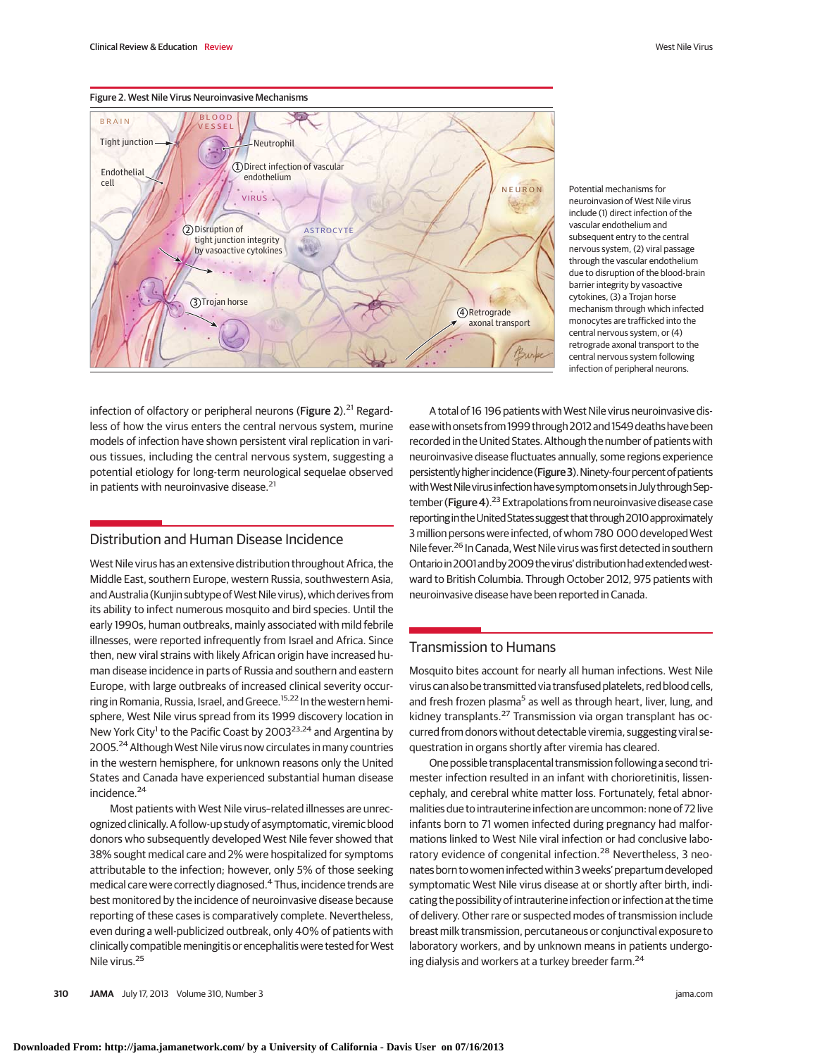

Potential mechanisms for neuroinvasion of West Nile virus include (1) direct infection of the vascular endothelium and subsequent entry to the central nervous system, (2) viral passage through the vascular endothelium due to disruption of the blood-brain barrier integrity by vasoactive cytokines, (3) a Trojan horse mechanism through which infected monocytes are trafficked into the central nervous system, or (4) retrograde axonal transport to the central nervous system following infection of peripheral neurons.

infection of olfactory or peripheral neurons (Figure 2).<sup>21</sup> Regardless of how the virus enters the central nervous system, murine models of infection have shown persistent viral replication in various tissues, including the central nervous system, suggesting a potential etiology for long-term neurological sequelae observed in patients with neuroinvasive disease. $^{21}$ 

## Distribution and Human Disease Incidence

West Nile virus has an extensive distribution throughout Africa, the Middle East, southern Europe, western Russia, southwestern Asia, and Australia (Kunjin subtype of West Nile virus), which derives from its ability to infect numerous mosquito and bird species. Until the early 1990s, human outbreaks, mainly associated with mild febrile illnesses, were reported infrequently from Israel and Africa. Since then, new viral strains with likely African origin have increased human disease incidence in parts of Russia and southern and eastern Europe, with large outbreaks of increased clinical severity occurring in Romania, Russia, Israel, and Greece.<sup>15,22</sup> In the western hemisphere, West Nile virus spread from its 1999 discovery location in New York City<sup>1</sup> to the Pacific Coast by 2003<sup>23,24</sup> and Argentina by 2005.<sup>24</sup> Although West Nile virus now circulates in many countries in the western hemisphere, for unknown reasons only the United States and Canada have experienced substantial human disease incidence.<sup>24</sup>

Most patients with West Nile virus–related illnesses are unrecognized clinically. A follow-up study of asymptomatic, viremic blood donors who subsequently developed West Nile fever showed that 38% sought medical care and 2% were hospitalized for symptoms attributable to the infection; however, only 5% of those seeking medical care were correctly diagnosed.4 Thus, incidence trends are best monitored by the incidence of neuroinvasive disease because reporting of these cases is comparatively complete. Nevertheless, even during a well-publicized outbreak, only 40% of patients with clinically compatible meningitis or encephalitis were tested for West Nile virus.<sup>25</sup>

A total of 16 196 patients with West Nile virus neuroinvasive diseasewith onsets from 1999 through 2012and 1549 deaths have been recorded in the United States. Although the number of patients with neuroinvasive disease fluctuates annually, some regions experience persistently higher incidence (Figure 3). Ninety-four percent of patients with West Nile virus infection have symptom onsets in July through September (Figure 4).<sup>23</sup> Extrapolations from neuroinvasive disease case reporting in the United States suggest that through 2010 approximately 3 million persons were infected, of whom 780 000 developed West Nile fever.<sup>26</sup> In Canada, West Nile virus was first detected in southern Ontario in 2001 and by 2009 the virus' distribution had extended westward to British Columbia. Through October 2012, 975 patients with neuroinvasive disease have been reported in Canada.

## Transmission to Humans

Mosquito bites account for nearly all human infections. West Nile virus can also be transmitted via transfused platelets, red blood cells, and fresh frozen plasma<sup>5</sup> as well as through heart, liver, lung, and kidney transplants.<sup>27</sup> Transmission via organ transplant has occurred from donors without detectable viremia, suggesting viral sequestration in organs shortly after viremia has cleared.

One possible transplacental transmission following a second trimester infection resulted in an infant with chorioretinitis, lissencephaly, and cerebral white matter loss. Fortunately, fetal abnormalities due to intrauterine infection are uncommon: none of 72 live infants born to 71 women infected during pregnancy had malformations linked to West Nile viral infection or had conclusive laboratory evidence of congenital infection.<sup>28</sup> Nevertheless, 3 neonates born towomen infectedwithin 3weeks' prepartum developed symptomatic West Nile virus disease at or shortly after birth, indicating the possibility of intrauterine infection or infection at the time of delivery. Other rare or suspected modes of transmission include breast milk transmission, percutaneous or conjunctival exposure to laboratory workers, and by unknown means in patients undergoing dialysis and workers at a turkey breeder farm.<sup>24</sup>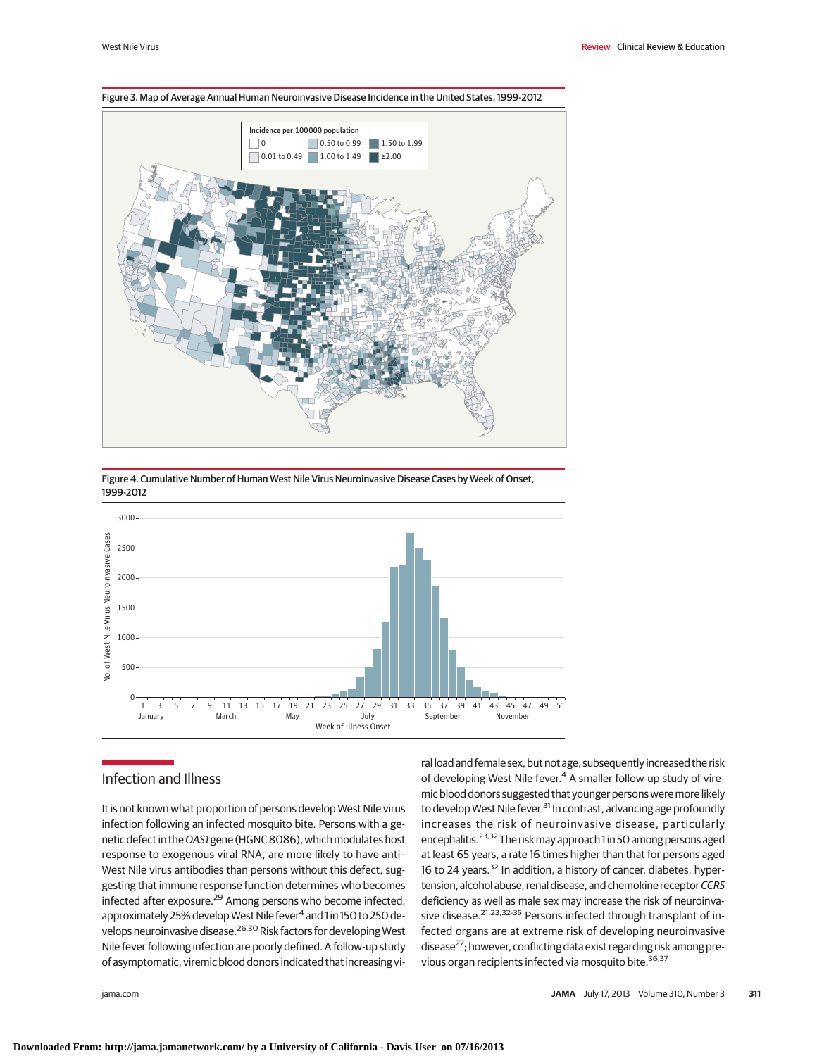

Figure 4. Cumulative Number of Human West Nile Virus Neuroinvasive Disease Cases by Week of Onset, 1999-2012



## Infection and Illness

It is not known what proportion of persons develop West Nile virus infection following an infected mosquito bite. Persons with a genetic defect in the OAS1 gene (HGNC 8086), which modulates host response to exogenous viral RNA, are more likely to have anti– West Nile virus antibodies than persons without this defect, suggesting that immune response function determines who becomes infected after exposure.<sup>29</sup> Among persons who become infected, approximately 25% develop West Nile fever<sup>4</sup> and 1 in 150 to 250 develops neuroinvasive disease.<sup>26,30</sup> Risk factors for developing West Nile fever following infection are poorly defined. A follow-up study of asymptomatic, viremic blood donors indicated that increasing viral load and female sex, but not age, subsequently increased the risk of developing West Nile fever.<sup>4</sup> A smaller follow-up study of viremic blood donors suggested that younger persons were more likely to develop West Nile fever.<sup>31</sup> In contrast, advancing age profoundly increases the risk of neuroinvasive disease, particularly encephalitis.<sup>23,32</sup> The risk may approach 1 in 50 among persons aged at least 65 years, a rate 16 times higher than that for persons aged 16 to 24 years.<sup>32</sup> In addition, a history of cancer, diabetes, hypertension, alcohol abuse, renal disease, and chemokine receptor CCR5 deficiency as well as male sex may increase the risk of neuroinvasive disease.<sup>21,23,32-35</sup> Persons infected through transplant of infected organs are at extreme risk of developing neuroinvasive disease<sup>27</sup>; however, conflicting data exist regarding risk among previous organ recipients infected via mosquito bite.<sup>36,37</sup>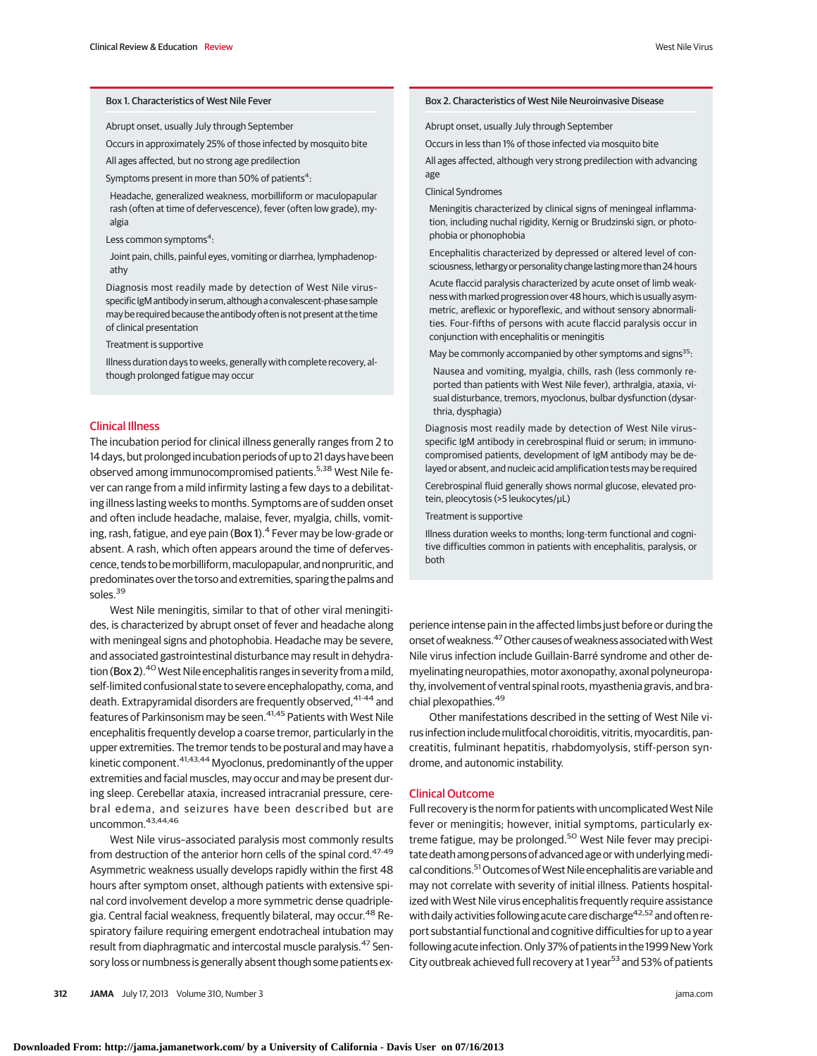#### Box 1. Characteristics of West Nile Fever

Abrupt onset, usually July through September

Occurs in approximately 25% of those infected by mosquito bite

All ages affected, but no strong age predilection

Symptoms present in more than 50% of patients<sup>4</sup>:

Headache, generalized weakness, morbilliform or maculopapular rash (often at time of defervescence), fever (often low grade), myalgia

Less common symptoms<sup>4</sup>:

Joint pain, chills, painful eyes, vomiting or diarrhea, lymphadenopathy

Diagnosis most readily made by detection of West Nile virus– specific IgM antibody in serum, although a convalescent-phase sample may be required because the antibody often is not present at the time of clinical presentation

Treatment is supportive

Illness duration days to weeks, generally with complete recovery, although prolonged fatigue may occur

#### Clinical Illness

The incubation period for clinical illness generally ranges from 2 to 14 days, but prolonged incubation periods of up to 21 days have been observed among immunocompromised patients.<sup>5,38</sup> West Nile fever can range from a mild infirmity lasting a few days to a debilitating illness lasting weeks to months. Symptoms are of sudden onset and often include headache, malaise, fever, myalgia, chills, vomiting, rash, fatigue, and eye pain (Box 1).<sup>4</sup> Fever may be low-grade or absent. A rash, which often appears around the time of defervescence, tends to be morbilliform, maculopapular, and nonpruritic, and predominates over the torso and extremities, sparing the palms and soles.<sup>39</sup>

West Nile meningitis, similar to that of other viral meningitides, is characterized by abrupt onset of fever and headache along with meningeal signs and photophobia. Headache may be severe, and associated gastrointestinal disturbance may result in dehydration (Box 2).<sup>40</sup> West Nile encephalitis ranges in severity from a mild, self-limited confusional state to severe encephalopathy, coma, and death. Extrapyramidal disorders are frequently observed, <sup>41-44</sup> and features of Parkinsonism may be seen.<sup>41,45</sup> Patients with West Nile encephalitis frequently develop a coarse tremor, particularly in the upper extremities. The tremor tends to be postural and may have a kinetic component.<sup>41,43,44</sup> Myoclonus, predominantly of the upper extremities and facial muscles, may occur and may be present during sleep. Cerebellar ataxia, increased intracranial pressure, cerebral edema, and seizures have been described but are uncommon.43,44,46

West Nile virus–associated paralysis most commonly results from destruction of the anterior horn cells of the spinal cord.<sup>47-49</sup> Asymmetric weakness usually develops rapidly within the first 48 hours after symptom onset, although patients with extensive spinal cord involvement develop a more symmetric dense quadriplegia. Central facial weakness, frequently bilateral, may occur.<sup>48</sup> Respiratory failure requiring emergent endotracheal intubation may result from diaphragmatic and intercostal muscle paralysis.<sup>47</sup> Sensory loss or numbness is generally absent though some patients ex-

#### Box 2. Characteristics of West Nile Neuroinvasive Disease

Abrupt onset, usually July through September

Occurs in less than 1% of those infected via mosquito bite

All ages affected, although very strong predilection with advancing age

Clinical Syndromes

Meningitis characterized by clinical signs of meningeal inflammation, including nuchal rigidity, Kernig or Brudzinski sign, or photophobia or phonophobia

Encephalitis characterized by depressed or altered level of consciousness, lethargy or personality change lasting more than 24 hours

Acute flaccid paralysis characterized by acute onset of limb weakness with marked progression over 48 hours, which is usually asymmetric, areflexic or hyporeflexic, and without sensory abnormalities. Four-fifths of persons with acute flaccid paralysis occur in conjunction with encephalitis or meningitis

May be commonly accompanied by other symptoms and signs<sup>35</sup>:

Nausea and vomiting, myalgia, chills, rash (less commonly reported than patients with West Nile fever), arthralgia, ataxia, visual disturbance, tremors, myoclonus, bulbar dysfunction (dysarthria, dysphagia)

Diagnosis most readily made by detection of West Nile virus– specific IgM antibody in cerebrospinal fluid or serum; in immunocompromised patients, development of IgM antibody may be delayed or absent, and nucleic acid amplification tests may be required

Cerebrospinal fluid generally shows normal glucose, elevated protein, pleocytosis (>5 leukocytes/μL)

Treatment is supportive

Illness duration weeks to months; long-term functional and cognitive difficulties common in patients with encephalitis, paralysis, or both

perience intense pain in the affected limbs just before or during the onset of weakness.<sup>47</sup> Other causes of weakness associated with West Nile virus infection include Guillain-Barré syndrome and other demyelinating neuropathies, motor axonopathy, axonal polyneuropathy, involvement of ventral spinal roots, myasthenia gravis, and brachial plexopathies.<sup>49</sup>

Other manifestations described in the setting of West Nile virus infection include mulitfocal choroiditis, vitritis, myocarditis, pancreatitis, fulminant hepatitis, rhabdomyolysis, stiff-person syndrome, and autonomic instability.

#### Clinical Outcome

Full recovery is the norm for patients with uncomplicated West Nile fever or meningitis; however, initial symptoms, particularly extreme fatigue, may be prolonged.<sup>50</sup> West Nile fever may precipitate death among persons of advanced age or with underlyingmedical conditions.<sup>51</sup> Outcomes of West Nile encephalitis are variable and may not correlate with severity of initial illness. Patients hospitalized with West Nile virus encephalitis frequently require assistance with daily activities following acute care discharge<sup>42,52</sup> and often report substantial functional and cognitive difficulties for up to a year following acute infection. Only 37% of patients in the 1999 New York City outbreak achieved full recovery at 1 year<sup>53</sup> and 53% of patients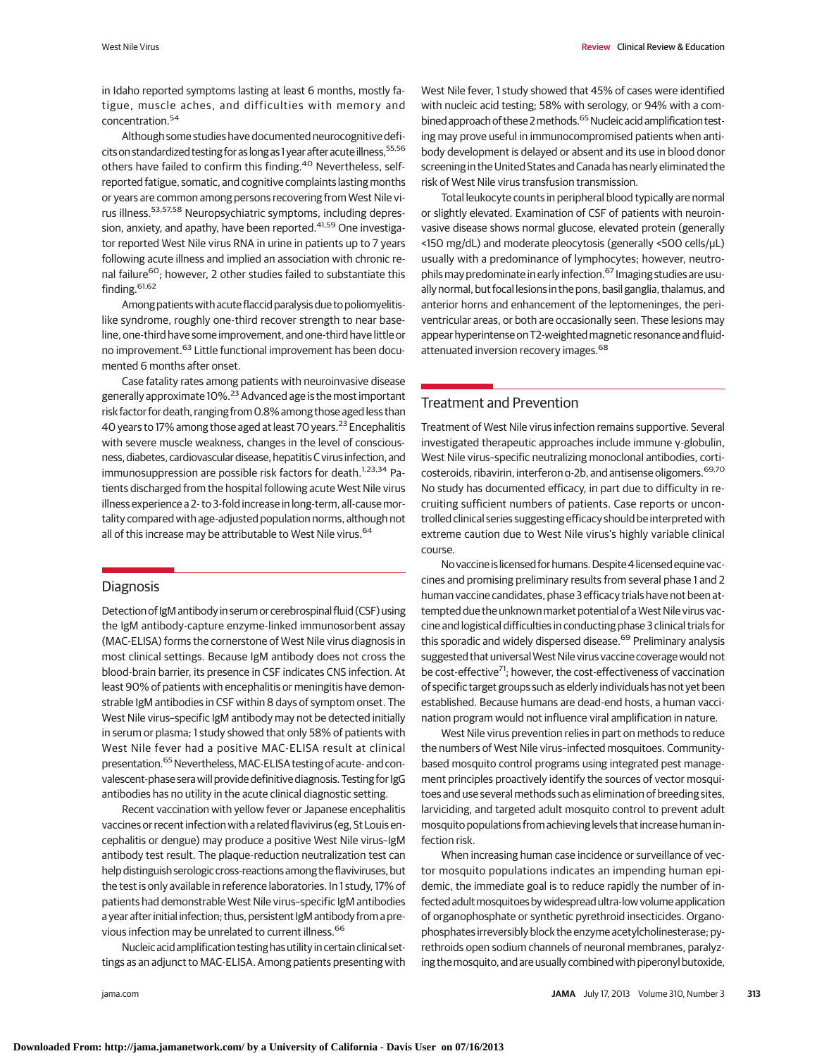in Idaho reported symptoms lasting at least 6 months, mostly fatigue, muscle aches, and difficulties with memory and concentration.<sup>54</sup>

Although some studies have documented neurocognitive deficits on standardized testing for as long as 1 year after acute illness, 55,56 others have failed to confirm this finding.<sup>40</sup> Nevertheless, selfreported fatigue, somatic, and cognitive complaints lasting months or years are common among persons recovering from West Nile virus illness.53,57,58 Neuropsychiatric symptoms, including depression, anxiety, and apathy, have been reported.<sup>41,59</sup> One investigator reported West Nile virus RNA in urine in patients up to 7 years following acute illness and implied an association with chronic renal failure<sup>60</sup>; however, 2 other studies failed to substantiate this finding. $61,62$ 

Among patients with acute flaccid paralysis due to poliomyelitislike syndrome, roughly one-third recover strength to near baseline, one-third have some improvement, and one-third have little or no improvement.<sup>63</sup> Little functional improvement has been documented 6 months after onset.

Case fatality rates among patients with neuroinvasive disease generally approximate 10%.<sup>23</sup> Advanced age is the most important risk factor for death, ranging from 0.8% among those aged less than 40 years to 17% among those aged at least 70 years.23 Encephalitis with severe muscle weakness, changes in the level of consciousness, diabetes, cardiovascular disease, hepatitis Cvirus infection, and immunosuppression are possible risk factors for death.<sup>1,23,34</sup> Patients discharged from the hospital following acute West Nile virus illness experience a 2- to 3-fold increase in long-term, all-cause mortality compared with age-adjusted population norms, although not all of this increase may be attributable to West Nile virus.<sup>64</sup>

## **Diagnosis**

Detection of IgM antibody in serum or cerebrospinal fluid (CSF) using the IgM antibody-capture enzyme-linked immunosorbent assay (MAC-ELISA) forms the cornerstone of West Nile virus diagnosis in most clinical settings. Because IgM antibody does not cross the blood-brain barrier, its presence in CSF indicates CNS infection. At least 90% of patients with encephalitis or meningitis have demonstrable IgM antibodies in CSF within 8 days of symptom onset. The West Nile virus–specific IgM antibody may not be detected initially in serum or plasma; 1 study showed that only 58% of patients with West Nile fever had a positive MAC-ELISA result at clinical presentation.<sup>65</sup> Nevertheless, MAC-ELISA testing of acute- and convalescent-phase sera will provide definitive diagnosis. Testing for IgG antibodies has no utility in the acute clinical diagnostic setting.

Recent vaccination with yellow fever or Japanese encephalitis vaccines or recent infection with a related flavivirus (eg, St Louis encephalitis or dengue) may produce a positive West Nile virus–IgM antibody test result. The plaque-reduction neutralization test can help distinguish serologic cross-reactions among the flaviviruses, but the test is only available in reference laboratories. In 1 study, 17% of patients had demonstrable West Nile virus–specific IgM antibodies a year after initial infection; thus, persistent IgM antibody from a previous infection may be unrelated to current illness.<sup>66</sup>

Nucleic acid amplification testing has utility in certain clinical settings as an adjunct to MAC-ELISA. Among patients presenting with

West Nile fever, 1 study showed that 45% of cases were identified with nucleic acid testing; 58% with serology, or 94% with a combined approach of these 2 methods.<sup>65</sup> Nucleic acid amplification testing may prove useful in immunocompromised patients when antibody development is delayed or absent and its use in blood donor screening in the United States and Canada has nearly eliminated the risk of West Nile virus transfusion transmission.

Total leukocyte counts in peripheral blood typically are normal or slightly elevated. Examination of CSF of patients with neuroinvasive disease shows normal glucose, elevated protein (generally <150 mg/dL) and moderate pleocytosis (generally <500 cells/μL) usually with a predominance of lymphocytes; however, neutrophils may predominate in early infection.<sup>67</sup> Imaging studies are usually normal, but focal lesions in the pons, basil ganglia, thalamus, and anterior horns and enhancement of the leptomeninges, the periventricular areas, or both are occasionally seen. These lesions may appear hyperintense on T2-weightedmagnetic resonance and fluidattenuated inversion recovery images.<sup>68</sup>

## Treatment and Prevention

Treatment of West Nile virus infection remains supportive. Several investigated therapeutic approaches include immune γ-globulin, West Nile virus–specific neutralizing monoclonal antibodies, corticosteroids, ribavirin, interferon a-2b, and antisense oligomers.<sup>69,70</sup> No study has documented efficacy, in part due to difficulty in recruiting sufficient numbers of patients. Case reports or uncontrolled clinical series suggesting efficacy should be interpreted with extreme caution due to West Nile virus's highly variable clinical course.

No vaccine is licensed for humans. Despite 4 licensed equine vaccines and promising preliminary results from several phase 1 and 2 human vaccine candidates, phase 3 efficacy trials have not been attempted due the unknown market potential of a West Nile virus vaccine and logistical difficulties in conducting phase 3 clinical trials for this sporadic and widely dispersed disease.<sup>69</sup> Preliminary analysis suggested that universal West Nile virus vaccine coverage would not be cost-effective<sup>71</sup>; however, the cost-effectiveness of vaccination of specific target groups such as elderly individuals has not yet been established. Because humans are dead-end hosts, a human vaccination program would not influence viral amplification in nature.

West Nile virus prevention relies in part on methods to reduce the numbers of West Nile virus–infected mosquitoes. Communitybased mosquito control programs using integrated pest management principles proactively identify the sources of vector mosquitoes and use several methods such as elimination of breeding sites, larviciding, and targeted adult mosquito control to prevent adult mosquito populations from achieving levels that increase human infection risk.

When increasing human case incidence or surveillance of vector mosquito populations indicates an impending human epidemic, the immediate goal is to reduce rapidly the number of infected adult mosquitoes by widespread ultra-low volume application of organophosphate or synthetic pyrethroid insecticides. Organophosphates irreversibly block the enzyme acetylcholinesterase; pyrethroids open sodium channels of neuronal membranes, paralyzing themosquito, and are usually combined with piperonyl butoxide,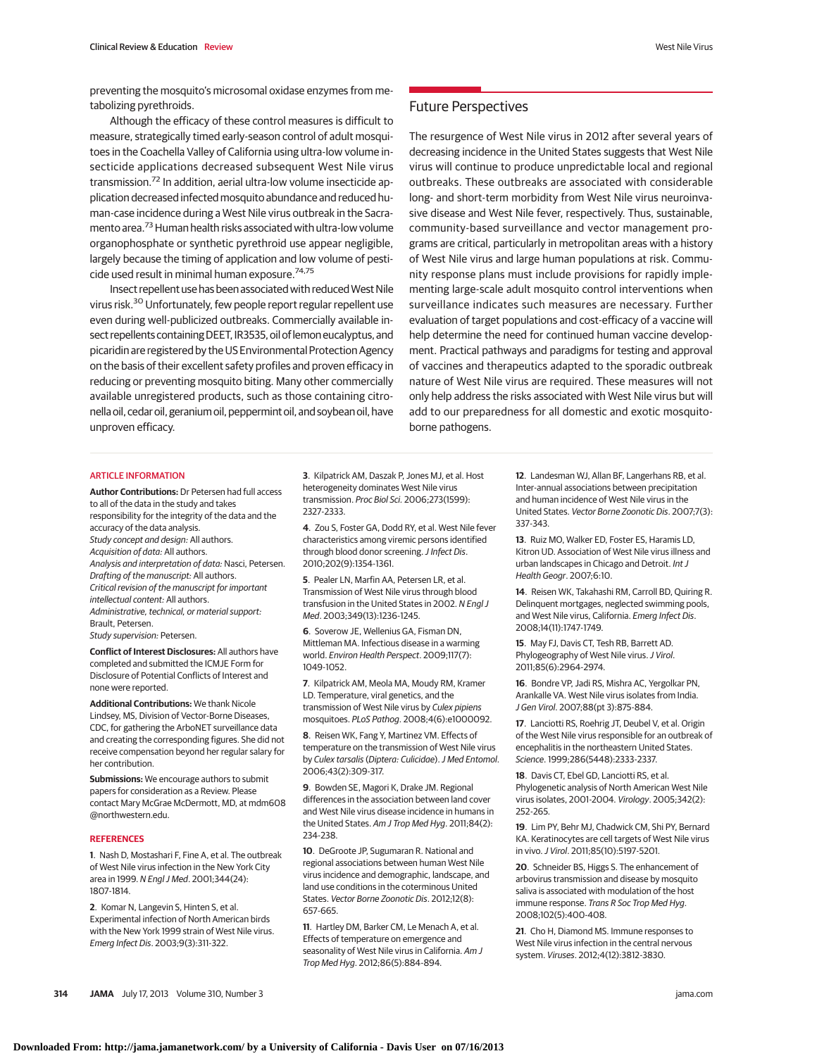preventing the mosquito's microsomal oxidase enzymes from metabolizing pyrethroids.

Although the efficacy of these control measures is difficult to measure, strategically timed early-season control of adult mosquitoes in the Coachella Valley of California using ultra-low volume insecticide applications decreased subsequent West Nile virus transmission.<sup>72</sup> In addition, aerial ultra-low volume insecticide application decreased infected mosquito abundance and reduced human-case incidence during a West Nile virus outbreak in the Sacramento area.<sup>73</sup> Human health risks associated with ultra-low volume organophosphate or synthetic pyrethroid use appear negligible, largely because the timing of application and low volume of pesticide used result in minimal human exposure.74,75

Insect repellent use has been associated with reduced West Nile virus risk.<sup>30</sup> Unfortunately, few people report regular repellent use even during well-publicized outbreaks. Commercially available insect repellents containing DEET, IR3535, oil of lemon eucalyptus, and picaridin are registered by the US Environmental Protection Agency on the basis of their excellent safety profiles and proven efficacy in reducing or preventing mosquito biting. Many other commercially available unregistered products, such as those containing citronella oil, cedar oil, geranium oil, peppermint oil, and soybean oil, have unproven efficacy.

### Future Perspectives

The resurgence of West Nile virus in 2012 after several years of decreasing incidence in the United States suggests that West Nile virus will continue to produce unpredictable local and regional outbreaks. These outbreaks are associated with considerable long- and short-term morbidity from West Nile virus neuroinvasive disease and West Nile fever, respectively. Thus, sustainable, community-based surveillance and vector management programs are critical, particularly in metropolitan areas with a history of West Nile virus and large human populations at risk. Community response plans must include provisions for rapidly implementing large-scale adult mosquito control interventions when surveillance indicates such measures are necessary. Further evaluation of target populations and cost-efficacy of a vaccine will help determine the need for continued human vaccine development. Practical pathways and paradigms for testing and approval of vaccines and therapeutics adapted to the sporadic outbreak nature of West Nile virus are required. These measures will not only help address the risks associated with West Nile virus but will add to our preparedness for all domestic and exotic mosquitoborne pathogens.

#### **ARTICLE INFORMATION**

**Author Contributions:** Dr Petersen had full access to all of the data in the study and takes responsibility for the integrity of the data and the accuracy of the data analysis. Study concept and design: All authors. Acquisition of data: All authors. Analysis and interpretation of data: Nasci, Petersen. Drafting of the manuscript: All authors. Critical revision of the manuscript for important intellectual content: All authors. Administrative, technical, or material support: Brault, Petersen. Study supervision: Petersen.

**Conflict of Interest Disclosures:** All authors have completed and submitted the ICMJE Form for Disclosure of Potential Conflicts of Interest and none were reported.

**Additional Contributions:** We thank Nicole Lindsey, MS, Division of Vector-Borne Diseases, CDC, for gathering the ArboNET surveillance data and creating the corresponding figures. She did not receive compensation beyond her regular salary for her contribution.

**Submissions:** We encourage authors to submit papers for consideration as a Review. Please contact Mary McGrae McDermott, MD, at mdm608 @northwestern.edu.

#### **REFERENCES**

**1**. Nash D, Mostashari F, Fine A, et al. The outbreak of West Nile virus infection in the New York City area in 1999. N Engl J Med. 2001;344(24): 1807-1814.

**2**. Komar N, Langevin S, Hinten S, et al. Experimental infection of North American birds with the New York 1999 strain of West Nile virus. Emerg Infect Dis. 2003;9(3):311-322.

**3**. Kilpatrick AM, Daszak P, Jones MJ, et al. Host heterogeneity dominates West Nile virus transmission. Proc Biol Sci. 2006;273(1599): 2327-2333.

**4**. Zou S, Foster GA, Dodd RY, et al. West Nile fever characteristics among viremic persons identified through blood donor screening. J Infect Dis. 2010;202(9):1354-1361.

**5**. Pealer LN, Marfin AA, Petersen LR, et al. Transmission of West Nile virus through blood transfusion in the United States in 2002. N Engl J Med. 2003;349(13):1236-1245.

**6**. Soverow JE, Wellenius GA, Fisman DN, Mittleman MA. Infectious disease in a warming world. Environ Health Perspect. 2009;117(7): 1049-1052.

**7**. Kilpatrick AM, Meola MA, Moudy RM, Kramer LD. Temperature, viral genetics, and the transmission of West Nile virus by Culex pipiens mosquitoes. PLoS Pathog. 2008;4(6):e1000092.

**8**. Reisen WK, Fang Y, Martinez VM. Effects of temperature on the transmission of West Nile virus by Culex tarsalis (Diptera: Culicidae). J Med Entomol. 2006;43(2):309-317.

**9**. Bowden SE, Magori K, Drake JM. Regional differences in the association between land cover and West Nile virus disease incidence in humans in the United States. Am J Trop Med Hyg. 2011;84(2): 234-238.

**10**. DeGroote JP, Sugumaran R. National and regional associations between human West Nile virus incidence and demographic, landscape, and land use conditions in the coterminous United States. Vector Borne Zoonotic Dis. 2012;12(8): 657-665.

**11**. Hartley DM, Barker CM, Le Menach A, et al. Effects of temperature on emergence and seasonality of West Nile virus in California. Am J Trop Med Hyg. 2012;86(5):884-894.

**12**. Landesman WJ, Allan BF, Langerhans RB, et al. Inter-annual associations between precipitation and human incidence of West Nile virus in the United States. Vector Borne Zoonotic Dis. 2007;7(3): 337-343.

**13**. Ruiz MO, Walker ED, Foster ES, Haramis LD, Kitron UD. Association of West Nile virus illness and urban landscapes in Chicago and Detroit. Int J Health Geogr. 2007;6:10.

**14**. Reisen WK, Takahashi RM, Carroll BD, Quiring R. Delinquent mortgages, neglected swimming pools, and West Nile virus, California. Emerg Infect Dis. 2008;14(11):1747-1749.

**15**. May FJ, Davis CT, Tesh RB, Barrett AD. Phylogeography of West Nile virus. J Virol. 2011;85(6):2964-2974.

**16**. Bondre VP, Jadi RS, Mishra AC, Yergolkar PN, Arankalle VA. West Nile virus isolates from India. J Gen Virol. 2007;88(pt 3):875-884.

**17**. Lanciotti RS, Roehrig JT, Deubel V, et al. Origin of the West Nile virus responsible for an outbreak of encephalitis in the northeastern United States. Science. 1999;286(5448):2333-2337.

**18**. Davis CT, Ebel GD, Lanciotti RS, et al. Phylogenetic analysis of North American West Nile virus isolates, 2001-2004. Virology. 2005;342(2): 252-265.

**19**. Lim PY, Behr MJ, Chadwick CM, Shi PY, Bernard KA. Keratinocytes are cell targets of West Nile virus in vivo.J Virol. 2011;85(10):5197-5201.

**20**. Schneider BS, Higgs S. The enhancement of arbovirus transmission and disease by mosquito saliva is associated with modulation of the host immune response. Trans R Soc Trop Med Hyg. 2008;102(5):400-408.

**21**. Cho H, Diamond MS. Immune responses to West Nile virus infection in the central nervous system. Viruses. 2012;4(12):3812-3830.